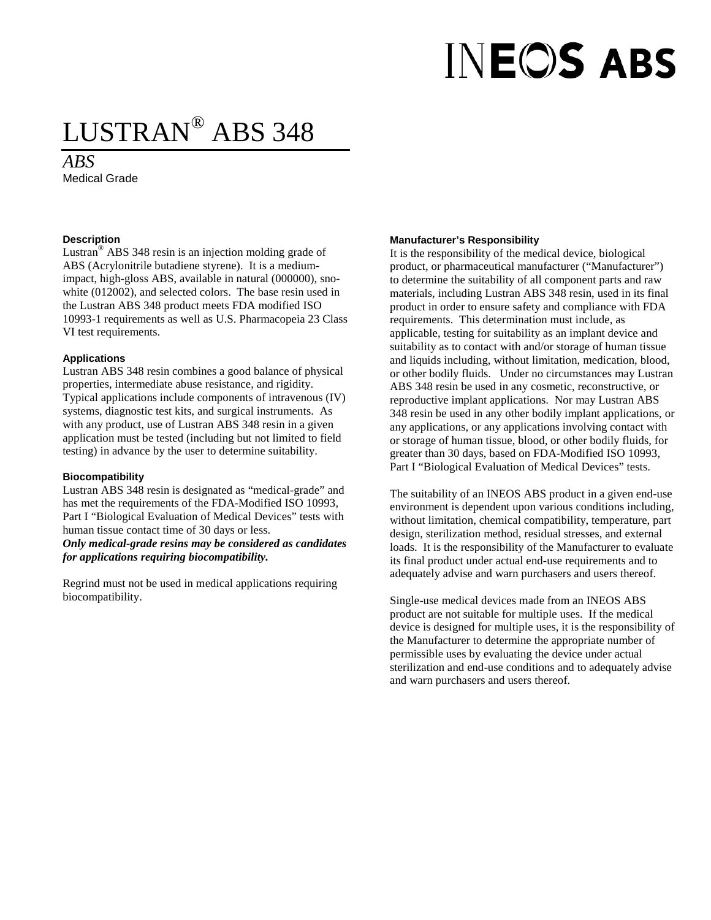# **INEOS ABS**

### LUSTRAN® ABS 348

#### *ABS*

Medical Grade

#### **Description**

Lustran® ABS 348 resin is an injection molding grade of ABS (Acrylonitrile butadiene styrene). It is a mediumimpact, high-gloss ABS, available in natural (000000), snowhite (012002), and selected colors. The base resin used in the Lustran ABS 348 product meets FDA modified ISO 10993-1 requirements as well as U.S. Pharmacopeia 23 Class VI test requirements.

#### **Applications**

Lustran ABS 348 resin combines a good balance of physical properties, intermediate abuse resistance, and rigidity. Typical applications include components of intravenous (IV) systems, diagnostic test kits, and surgical instruments. As with any product, use of Lustran ABS 348 resin in a given application must be tested (including but not limited to field testing) in advance by the user to determine suitability.

#### **Biocompatibility**

Lustran ABS 348 resin is designated as "medical-grade" and has met the requirements of the FDA-Modified ISO 10993, Part I "Biological Evaluation of Medical Devices" tests with human tissue contact time of 30 days or less.

*Only medical-grade resins may be considered as candidates for applications requiring biocompatibility.*

Regrind must not be used in medical applications requiring biocompatibility.

#### **Manufacturer's Responsibility**

It is the responsibility of the medical device, biological product, or pharmaceutical manufacturer ("Manufacturer") to determine the suitability of all component parts and raw materials, including Lustran ABS 348 resin, used in its final product in order to ensure safety and compliance with FDA requirements. This determination must include, as applicable, testing for suitability as an implant device and suitability as to contact with and/or storage of human tissue and liquids including, without limitation, medication, blood, or other bodily fluids. Under no circumstances may Lustran ABS 348 resin be used in any cosmetic, reconstructive, or reproductive implant applications. Nor may Lustran ABS 348 resin be used in any other bodily implant applications, or any applications, or any applications involving contact with or storage of human tissue, blood, or other bodily fluids, for greater than 30 days, based on FDA-Modified ISO 10993, Part I "Biological Evaluation of Medical Devices" tests.

The suitability of an INEOS ABS product in a given end-use environment is dependent upon various conditions including, without limitation, chemical compatibility, temperature, part design, sterilization method, residual stresses, and external loads. It is the responsibility of the Manufacturer to evaluate its final product under actual end-use requirements and to adequately advise and warn purchasers and users thereof.

Single-use medical devices made from an INEOS ABS product are not suitable for multiple uses. If the medical device is designed for multiple uses, it is the responsibility of the Manufacturer to determine the appropriate number of permissible uses by evaluating the device under actual sterilization and end-use conditions and to adequately advise and warn purchasers and users thereof.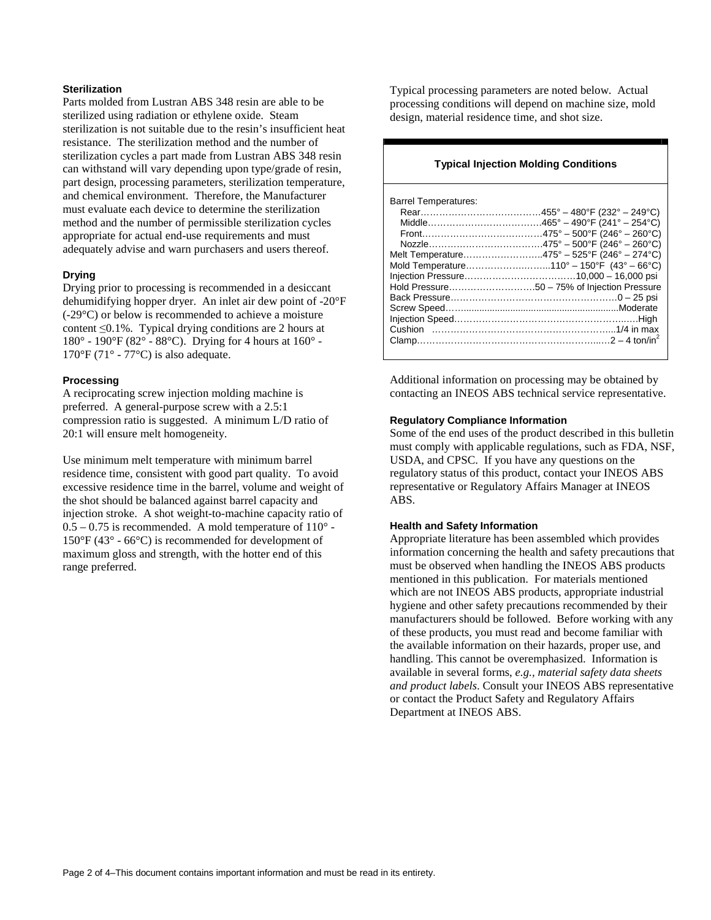#### **Sterilization**

Parts molded from Lustran ABS 348 resin are able to be sterilized using radiation or ethylene oxide. Steam sterilization is not suitable due to the resin's insufficient heat resistance. The sterilization method and the number of sterilization cycles a part made from Lustran ABS 348 resin can withstand will vary depending upon type/grade of resin, part design, processing parameters, sterilization temperature, and chemical environment. Therefore, the Manufacturer must evaluate each device to determine the sterilization method and the number of permissible sterilization cycles appropriate for actual end-use requirements and must adequately advise and warn purchasers and users thereof.

#### **Drying**

Drying prior to processing is recommended in a desiccant dehumidifying hopper dryer. An inlet air dew point of -20°F (-29°C) or below is recommended to achieve a moisture content ≤0.1%. Typical drying conditions are 2 hours at 180° - 190°F (82° - 88°C). Drying for 4 hours at 160° -  $170^{\circ}$ F (71° - 77°C) is also adequate.

#### **Processing**

A reciprocating screw injection molding machine is preferred. A general-purpose screw with a 2.5:1 compression ratio is suggested. A minimum L/D ratio of 20:1 will ensure melt homogeneity.

Use minimum melt temperature with minimum barrel residence time, consistent with good part quality. To avoid excessive residence time in the barrel, volume and weight of the shot should be balanced against barrel capacity and injection stroke. A shot weight-to-machine capacity ratio of  $0.5 - 0.75$  is recommended. A mold temperature of  $110^{\circ}$  -150°F (43° - 66°C) is recommended for development of maximum gloss and strength, with the hotter end of this range preferred.

Typical processing parameters are noted below. Actual processing conditions will depend on machine size, mold design, material residence time, and shot size.

#### **Typical Injection Molding Conditions**

Additional information on processing may be obtained by contacting an INEOS ABS technical service representative.

#### **Regulatory Compliance Information**

Some of the end uses of the product described in this bulletin must comply with applicable regulations, such as FDA, NSF, USDA, and CPSC. If you have any questions on the regulatory status of this product, contact your INEOS ABS representative or Regulatory Affairs Manager at INEOS ABS.

#### **Health and Safety Information**

Appropriate literature has been assembled which provides information concerning the health and safety precautions that must be observed when handling the INEOS ABS products mentioned in this publication. For materials mentioned which are not INEOS ABS products, appropriate industrial hygiene and other safety precautions recommended by their manufacturers should be followed. Before working with any of these products, you must read and become familiar with the available information on their hazards, proper use, and handling. This cannot be overemphasized. Information is available in several forms, *e.g., material safety data sheets and product labels*. Consult your INEOS ABS representative or contact the Product Safety and Regulatory Affairs Department at INEOS ABS.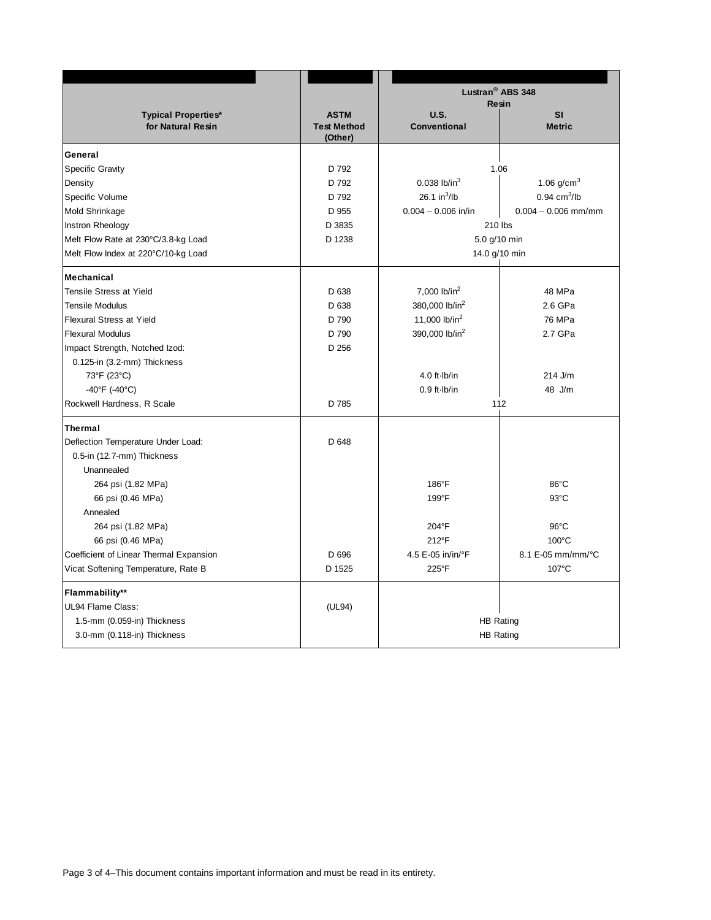|                                         |                               | Lustran <sup>®</sup> ABS 348<br><b>Resin</b><br>U.S.<br>SI |                            |
|-----------------------------------------|-------------------------------|------------------------------------------------------------|----------------------------|
| <b>Typical Properties*</b>              | <b>ASTM</b>                   |                                                            |                            |
| for Natural Resin                       | <b>Test Method</b><br>(Other) | Conventional                                               | <b>Metric</b>              |
| General                                 |                               |                                                            |                            |
| <b>Specific Gravity</b>                 | D 792                         | 1.06                                                       |                            |
| Density                                 | D 792                         | $0.038$ lb/in <sup>3</sup>                                 | 1.06 $g/cm^{3}$            |
| Specific Volume                         | D 792                         | 26.1 in $^{3}$ /lb                                         | $0.94$ cm <sup>3</sup> /lb |
| Mold Shrinkage                          | D 955                         | $0.004 - 0.006$ in/in                                      | $0.004 - 0.006$ mm/mm      |
| Instron Rheology                        | D 3835                        | 210 lbs                                                    |                            |
| Melt Flow Rate at 230°C/3.8-kg Load     | D 1238                        | 5.0 g/10 min                                               |                            |
| Melt Flow Index at 220°C/10-kg Load     |                               | 14.0 g/10 min                                              |                            |
| <b>Mechanical</b>                       |                               |                                                            |                            |
| <b>Tensile Stress at Yield</b>          | D 638                         | 7,000 lb/in <sup>2</sup>                                   | 48 MPa                     |
| <b>Tensile Modulus</b>                  | D 638                         | 380,000 lb/in <sup>2</sup>                                 | 2.6 GPa                    |
| Flexural Stress at Yield                | D 790                         | 11,000 lb/in <sup>2</sup>                                  | 76 MPa                     |
| <b>Flexural Modulus</b>                 | D 790                         | 390,000 lb/in <sup>2</sup>                                 | 2.7 GPa                    |
| Impact Strength, Notched Izod:          | D 256                         |                                                            |                            |
| 0.125-in (3.2-mm) Thickness             |                               |                                                            |                            |
| 73°F (23°C)                             |                               | 4.0 ft $\cdot$ Ib/in                                       | $214$ J/m                  |
| -40°F (-40°C)                           |                               | $0.9$ ft $\cdot$ Ib/in                                     | 48 J/m                     |
| Rockwell Hardness, R Scale              | D 785                         | 112                                                        |                            |
| <b>Thermal</b>                          |                               |                                                            |                            |
| Deflection Temperature Under Load:      | D 648                         |                                                            |                            |
| 0.5-in (12.7-mm) Thickness              |                               |                                                            |                            |
| Unannealed                              |                               |                                                            |                            |
| 264 psi (1.82 MPa)                      |                               | 186°F                                                      | 86°C                       |
| 66 psi (0.46 MPa)                       |                               | 199°F                                                      | $93^{\circ}$ C             |
| Annealed                                |                               |                                                            |                            |
| 264 psi (1.82 MPa)                      |                               | $204^{\circ}F$                                             | $96^{\circ}$ C             |
| 66 psi (0.46 MPa)                       |                               | 212°F                                                      | $100^{\circ}$ C            |
| Coefficient of Linear Thermal Expansion | D 696                         | 4.5 E-05 in/in/°F                                          | 8.1 E-05 mm/mm/°C          |
| Vicat Softening Temperature, Rate B     | D 1525                        | 225°F                                                      | 107°C                      |
| <b>Flammability**</b>                   |                               |                                                            |                            |
| UL94 Flame Class:                       | (UL94)                        |                                                            |                            |
| 1.5-mm (0.059-in) Thickness             |                               | <b>HB Rating</b>                                           |                            |
| 3.0-mm (0.118-in) Thickness             |                               | <b>HB Rating</b>                                           |                            |
|                                         |                               |                                                            |                            |